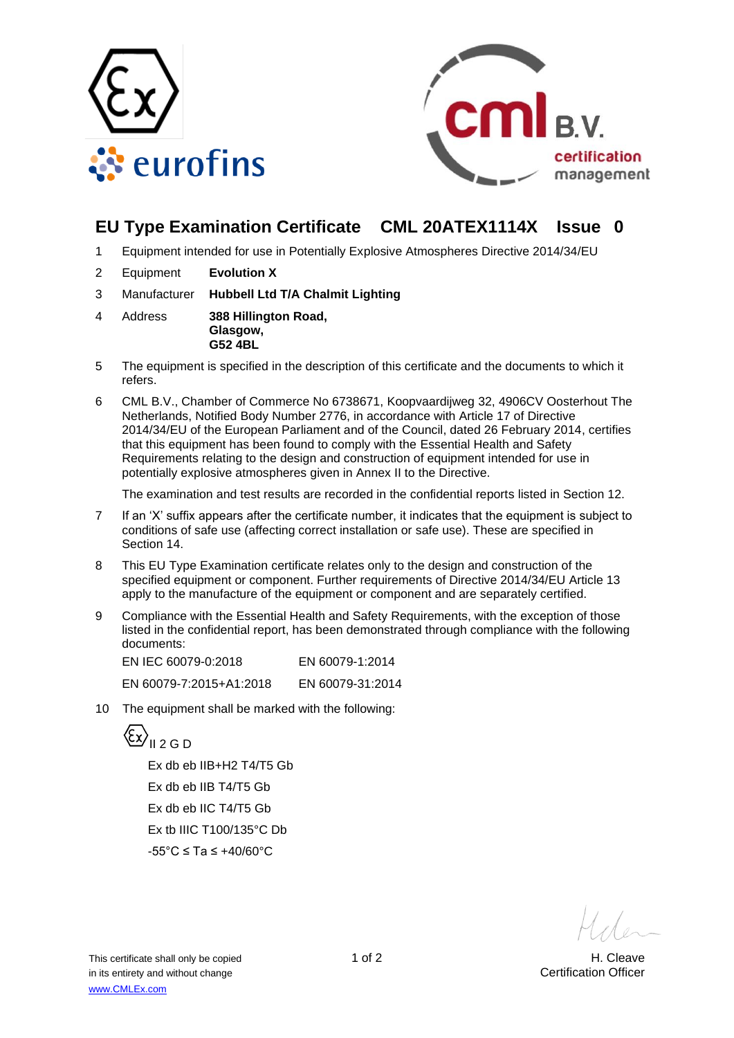



# **EU Type Examination Certificate CML 20ATEX1114X Issue 0**

- 1 Equipment intended for use in Potentially Explosive Atmospheres Directive 2014/34/EU
- 2 Equipment **Evolution X**
- 3 Manufacturer **Hubbell Ltd T/A Chalmit Lighting**
- 4 Address **388 Hillington Road, Glasgow, G52 4BL**
- 5 The equipment is specified in the description of this certificate and the documents to which it refers.
- 6 CML B.V., Chamber of Commerce No 6738671, Koopvaardijweg 32, 4906CV Oosterhout The Netherlands, Notified Body Number 2776, in accordance with Article 17 of Directive 2014/34/EU of the European Parliament and of the Council, dated 26 February 2014, certifies that this equipment has been found to comply with the Essential Health and Safety Requirements relating to the design and construction of equipment intended for use in potentially explosive atmospheres given in Annex II to the Directive.

The examination and test results are recorded in the confidential reports listed in Section 12.

- 7 If an 'X' suffix appears after the certificate number, it indicates that the equipment is subject to conditions of safe use (affecting correct installation or safe use). These are specified in Section 14.
- 8 This EU Type Examination certificate relates only to the design and construction of the specified equipment or component. Further requirements of Directive 2014/34/EU Article 13 apply to the manufacture of the equipment or component and are separately certified.
- 9 Compliance with the Essential Health and Safety Requirements, with the exception of those listed in the confidential report, has been demonstrated through compliance with the following documents:

EN IEC 60079-0:2018 EN 60079-1:2014 EN 60079-7:2015+A1:2018 EN 60079-31:2014

10 The equipment shall be marked with the following:



Ex db eb IIB+H2 T4/T5 Gb Ex db eb IIB T4/T5 Gb Ex db eb IIC T4/T5 Gb Ex tb IIIC T100/135°C Db -55°C ≤ Ta ≤ +40/60°C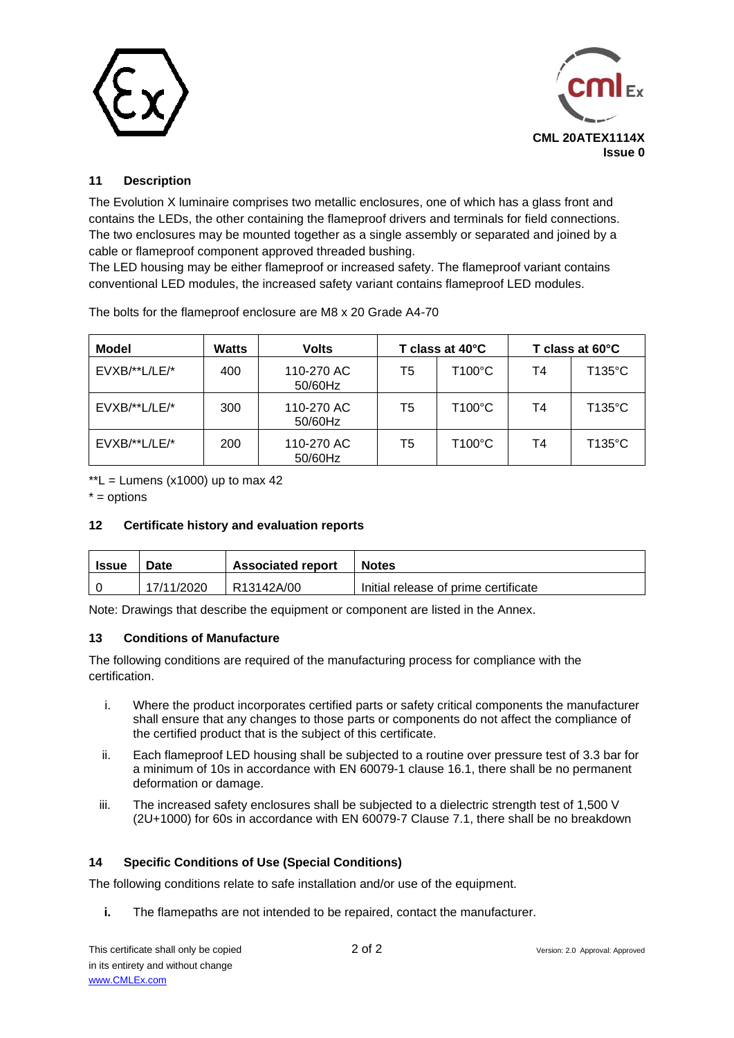



### **11 Description**

The Evolution X luminaire comprises two metallic enclosures, one of which has a glass front and contains the LEDs, the other containing the flameproof drivers and terminals for field connections. The two enclosures may be mounted together as a single assembly or separated and joined by a cable or flameproof component approved threaded bushing.

The LED housing may be either flameproof or increased safety. The flameproof variant contains conventional LED modules, the increased safety variant contains flameproof LED modules.

| Model           | <b>Watts</b> | <b>Volts</b>          | T class at 40°C |                  | T class at 60°C |                  |
|-----------------|--------------|-----------------------|-----------------|------------------|-----------------|------------------|
| $EVXB/**L/LE/*$ | 400          | 110-270 AC<br>50/60Hz | T5              | $T100^{\circ}$ C | T4              | T135°C           |
| EVXB/**L/LE/*   | 300          | 110-270 AC<br>50/60Hz | T5              | $T100^{\circ}$ C | T4              | $T135^{\circ}$ C |
| $EVXB/**L/LE/*$ | 200          | 110-270 AC<br>50/60Hz | T5              | $T100^{\circ}$ C | T4              | T135°C           |

The bolts for the flameproof enclosure are M8 x 20 Grade A4-70

 $*L$  = Lumens (x1000) up to max 42

 $* =$  options

#### **12 Certificate history and evaluation reports**

| Issue | <b>Associated report</b><br>Date |            | <b>Notes</b>                         |  |  |
|-------|----------------------------------|------------|--------------------------------------|--|--|
|       | 17/11/2020                       | R13142A/00 | Initial release of prime certificate |  |  |

Note: Drawings that describe the equipment or component are listed in the Annex.

#### **13 Conditions of Manufacture**

The following conditions are required of the manufacturing process for compliance with the certification.

- i. Where the product incorporates certified parts or safety critical components the manufacturer shall ensure that any changes to those parts or components do not affect the compliance of the certified product that is the subject of this certificate.
- ii. Each flameproof LED housing shall be subjected to a routine over pressure test of 3.3 bar for a minimum of 10s in accordance with EN 60079-1 clause 16.1, there shall be no permanent deformation or damage.
- iii. The increased safety enclosures shall be subjected to a dielectric strength test of 1,500 V (2U+1000) for 60s in accordance with EN 60079-7 Clause 7.1, there shall be no breakdown

### **14 Specific Conditions of Use (Special Conditions)**

The following conditions relate to safe installation and/or use of the equipment.

**i.** The flamepaths are not intended to be repaired, contact the manufacturer.